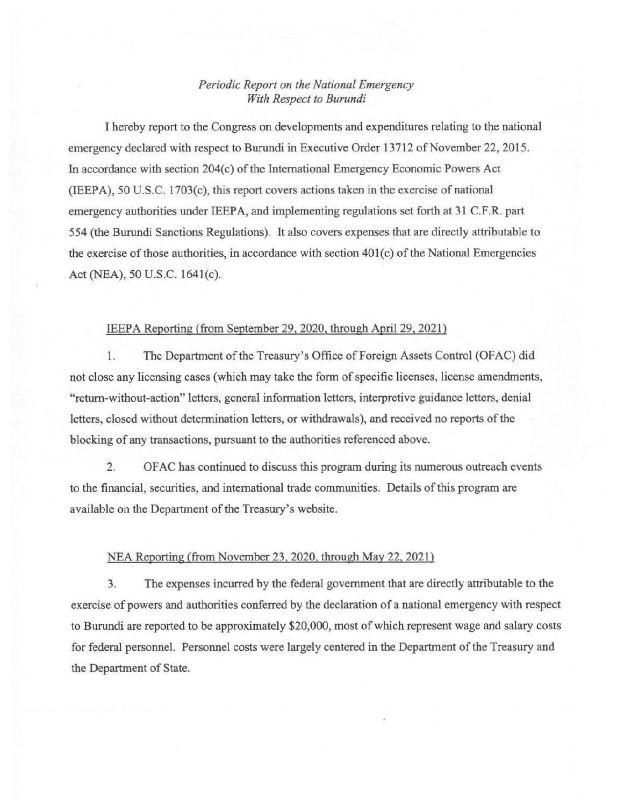## *Periodic Report on the National Emergency With Respect to Burundi*

I hereby report to the Congress on developments and expenditures relating to the national emergency declared with respect to Burundi in Executive Order 13712 of November 22, 2015. In accordance with section 204(c) of the International Emergency Economic Powers Act (IEEPA), 50 U.S.C. 1703(c), this report covers actions taken in the exercise of national emergency authorities under IEEPA, and implementing regulations set forth at 31 C.F.R. part 554 (the Burundi Sanctions Regulations). It also covers expenses that are directly attributable to the exercise of those authorities, in accordance with section 40l(c) of the National Emergencies Act (NEA), 50 U.S.C. 1641(c).

## IEEPA Reporting (from September 29, 2020, through April 29, 2021)

1. The Department of the Treasury's Office of Foreign Assets Control (OFAC) did not close any licensing cases (which may take the form of specific licenses, license amendments, "return-without-action" letters, general information letters, interpretive guidance letters, denial letters, closed without determination letters, or withdrawals), and received no reports of the blocking of any transactions, pursuant to the authorities referenced above.

2. OF AC has continued to discuss this program during its numerous outreach events to the financial, securities, and international trade communities. Details of this program are available on the Department of the Treasury's website.

## NEA Reporting (from November 23,2020, through May 22, 2021)

3. The expenses incurred by the federal government that are directly attributable to the exercise of powers and authorities conferred by the declaration of a national emergency with respect to Burundi are reported to be approximately \$20,000, most of which represent wage and salary costs for federal personnel. Personnel costs were largely centered in the Department of the Treasury and the Department of State.